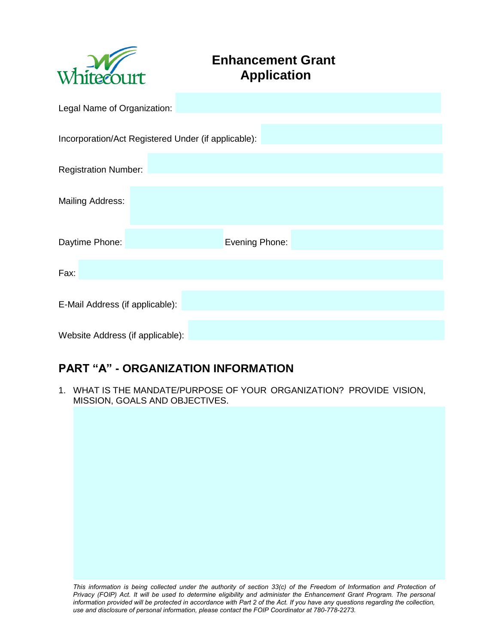

# **Enhancement Grant Application**

| Legal Name of Organization:      |                                                     |  |  |  |
|----------------------------------|-----------------------------------------------------|--|--|--|
|                                  | Incorporation/Act Registered Under (if applicable): |  |  |  |
| <b>Registration Number:</b>      |                                                     |  |  |  |
| <b>Mailing Address:</b>          |                                                     |  |  |  |
| Daytime Phone:                   | Evening Phone:                                      |  |  |  |
| Fax:                             |                                                     |  |  |  |
| E-Mail Address (if applicable):  |                                                     |  |  |  |
| Website Address (if applicable): |                                                     |  |  |  |

## **PART "A" - ORGANIZATION INFORMATION**

1. WHAT IS THE MANDATE/PURPOSE OF YOUR ORGANIZATION? PROVIDE VISION, MISSION, GOALS AND OBJECTIVES.

This information is being collected under the authority of section 33(c) of the Freedom of Information and Protection of *Privacy (FOIP) Act. It will be used to determine eligibility and administer the Enhancement Grant Program. The personal information provided will be protected in accordance with Part 2 of the Act. If you have any questions regarding the collection, use and disclosure of personal information, please contact the FOIP Coordinator at 780-778-2273.*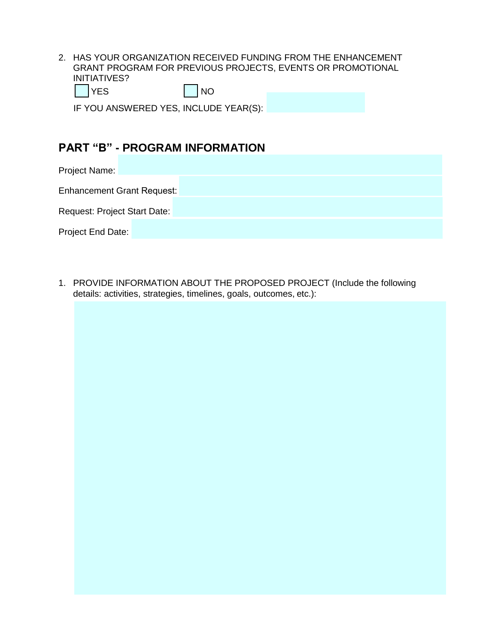2. HAS YOUR ORGANIZATION RECEIVED FUNDING FROM THE ENHANCEMENT GRANT PROGRAM FOR PREVIOUS PROJECTS, EVENTS OR PROMOTIONAL INITIATIVES?  $\bigcap$ YES  $\bigcap$ NO

| IF YOU ANSWERED YES, INCLUDE YEAR(S): |  |
|---------------------------------------|--|

### **PART "B" - PROGRAM INFORMATION**

Project Name:

Enhancement Grant Request:

Request: Project Start Date:

Project End Date:

1. PROVIDE INFORMATION ABOUT THE PROPOSED PROJECT (Include the following details: activities, strategies, timelines, goals, outcomes, etc.):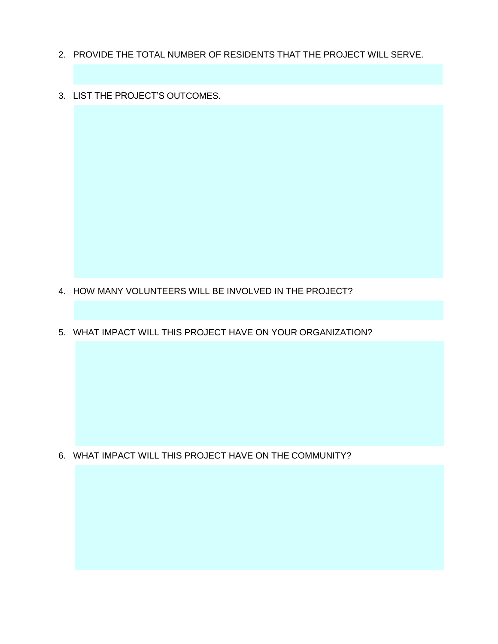- 2. PROVIDE THE TOTAL NUMBER OF RESIDENTS THAT THE PROJECT WILL SERVE.
- 3. LIST THE PROJECT'S OUTCOMES.

- 4. HOW MANY VOLUNTEERS WILL BE INVOLVED IN THE PROJECT?
- 5. WHAT IMPACT WILL THIS PROJECT HAVE ON YOUR ORGANIZATION?

6. WHAT IMPACT WILL THIS PROJECT HAVE ON THE COMMUNITY?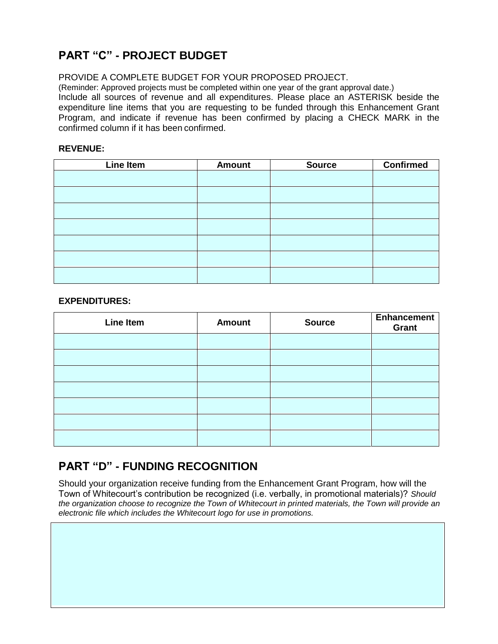## **PART "C" - PROJECT BUDGET**

PROVIDE A COMPLETE BUDGET FOR YOUR PROPOSED PROJECT.

(Reminder: Approved projects must be completed within one year of the grant approval date.)

Include all sources of revenue and all expenditures. Please place an ASTERISK beside the expenditure line items that you are requesting to be funded through this Enhancement Grant Program, and indicate if revenue has been confirmed by placing a CHECK MARK in the confirmed column if it has been confirmed.

#### **REVENUE:**

| Line Item | <b>Amount</b> | <b>Source</b> | <b>Confirmed</b> |
|-----------|---------------|---------------|------------------|
|           |               |               |                  |
|           |               |               |                  |
|           |               |               |                  |
|           |               |               |                  |
|           |               |               |                  |
|           |               |               |                  |
|           |               |               |                  |

#### **EXPENDITURES:**

| <b>Line Item</b> | <b>Amount</b> | <b>Source</b> | <b>Enhancement</b><br>Grant |
|------------------|---------------|---------------|-----------------------------|
|                  |               |               |                             |
|                  |               |               |                             |
|                  |               |               |                             |
|                  |               |               |                             |
|                  |               |               |                             |
|                  |               |               |                             |
|                  |               |               |                             |

### **PART "D" - FUNDING RECOGNITION**

Should your organization receive funding from the Enhancement Grant Program, how will the Town of Whitecourt's contribution be recognized (i.e. verbally, in promotional materials)? *Should the organization choose to recognize the Town of Whitecourt in printed materials, the Town will provide an electronic file which includes the Whitecourt logo for use in promotions.*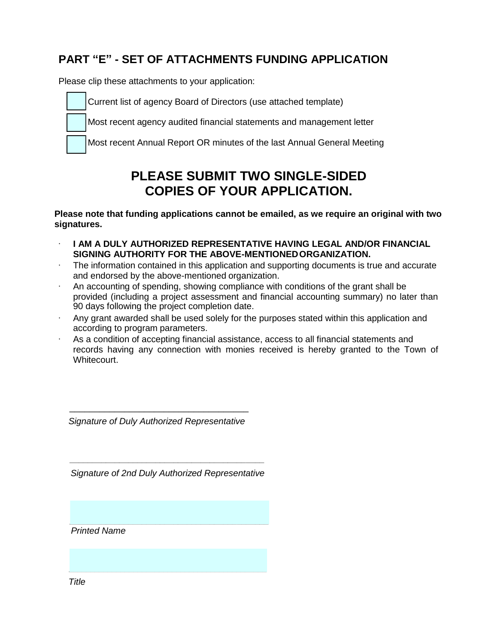## **PART "E" - SET OF ATTACHMENTS FUNDING APPLICATION**

Please clip these attachments to your application:

Current list of agency Board of Directors (use attached template)

Most recent agency audited financial statements and management letter

Most recent Annual Report OR minutes of the last Annual General Meeting

# **PLEASE SUBMIT TWO SINGLE-SIDED COPIES OF YOUR APPLICATION.**

**Please note that funding applications cannot be emailed, as we require an original with two signatures.** 

- · **I AM A DULY AUTHORIZED REPRESENTATIVE HAVING LEGAL AND/OR FINANCIAL SIGNING AUTHORITY FOR THE ABOVE-MENTIONED ORGANIZATION.**
- The information contained in this application and supporting documents is true and accurate and endorsed by the above-mentioned organization.
- · An accounting of spending, showing compliance with conditions of the grant shall be provided (including a project assessment and financial accounting summary) no later than 90 days following the project completion date.
- Any grant awarded shall be used solely for the purposes stated within this application and according to program parameters.
- · As a condition of accepting financial assistance, access to all financial statements and records having any connection with monies received is hereby granted to the Town of Whitecourt.

*Signature of Duly Authorized Representative* 

 $\frac{1}{\sqrt{2}}$  ,  $\frac{1}{\sqrt{2}}$  ,  $\frac{1}{\sqrt{2}}$  ,  $\frac{1}{\sqrt{2}}$  ,  $\frac{1}{\sqrt{2}}$  ,  $\frac{1}{\sqrt{2}}$  ,  $\frac{1}{\sqrt{2}}$  ,  $\frac{1}{\sqrt{2}}$  ,  $\frac{1}{\sqrt{2}}$  ,  $\frac{1}{\sqrt{2}}$  ,  $\frac{1}{\sqrt{2}}$  ,  $\frac{1}{\sqrt{2}}$  ,  $\frac{1}{\sqrt{2}}$  ,  $\frac{1}{\sqrt{2}}$  ,  $\frac{1}{\sqrt{2}}$ 

*Signature of 2nd Duly Authorized Representative* 

 *\_\_\_\_\_\_\_\_\_\_\_\_\_\_\_\_\_\_\_\_\_\_\_\_\_\_\_\_\_\_\_\_\_\_\_\_\_\_\_\_\_\_\_* 

 *\_\_\_\_\_\_\_\_\_\_\_\_\_\_\_\_\_\_\_\_\_\_\_\_\_\_\_\_\_\_\_\_\_\_\_\_\_\_\_\_\_\_\_\_\_\_*

*Printed Name*